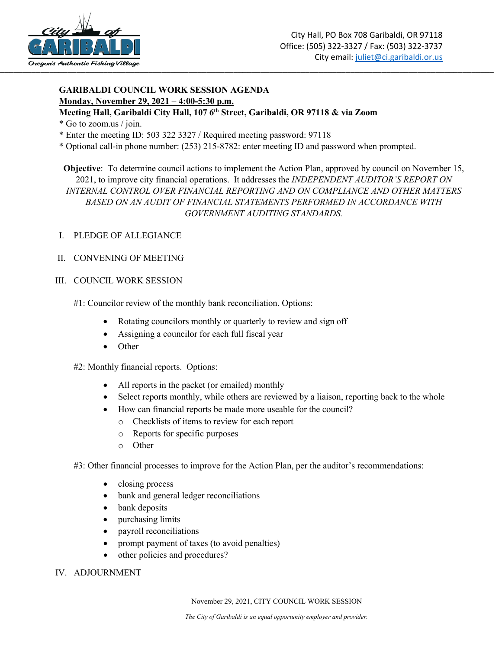

## **GARIBALDI COUNCIL WORK SESSION AGENDA Monday, November 29, 2021 – 4:00-5:30 p.m.**

### **Meeting Hall, Garibaldi City Hall, 107 6th Street, Garibaldi, OR 97118 & via Zoom**

- \* Go to zoom.us / join.
- \* Enter the meeting ID: 503 322 3327 / Required meeting password: 97118
- \* Optional call-in phone number: (253) 215-8782: enter meeting ID and password when prompted.

**Objective**: To determine council actions to implement the Action Plan, approved by council on November 15, 2021, to improve city financial operations. It addresses the *INDEPENDENT AUDITOR'S REPORT ON INTERNAL CONTROL OVER FINANCIAL REPORTING AND ON COMPLIANCE AND OTHER MATTERS BASED ON AN AUDIT OF FINANCIAL STATEMENTS PERFORMED IN ACCORDANCE WITH GOVERNMENT AUDITING STANDARDS.*

I. PLEDGE OF ALLEGIANCE

#### II. CONVENING OF MEETING

#### III. COUNCIL WORK SESSION

- #1: Councilor review of the monthly bank reconciliation. Options:
	- Rotating councilors monthly or quarterly to review and sign off
	- Assigning a councilor for each full fiscal year
	- Other
- #2: Monthly financial reports. Options:
	- All reports in the packet (or emailed) monthly
	- Select reports monthly, while others are reviewed by a liaison, reporting back to the whole
	- How can financial reports be made more useable for the council?
		- o Checklists of items to review for each report
		- o Reports for specific purposes
		- o Other
- #3: Other financial processes to improve for the Action Plan, per the auditor's recommendations:
	- closing process
	- bank and general ledger reconciliations
	- bank deposits
	- purchasing limits
	- payroll reconciliations
	- prompt payment of taxes (to avoid penalties)
	- other policies and procedures?
- IV. ADJOURNMENT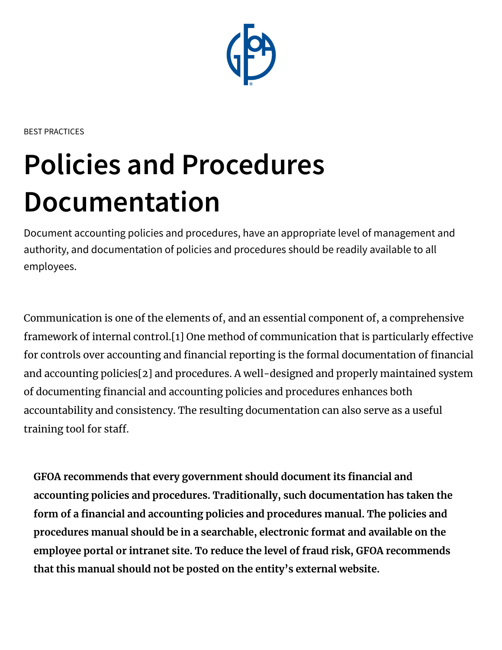

BEST PRACTICES

# **Policies and Procedures Documentation**

Document accounting policies and procedures, have an appropriate level of management and authority, and documentation of policies and procedures should be readily available to all employees.

Communication is one of the elements of, and an essential component of, a comprehensive framework of internal control.[1] One method of communication that is particularly effective for controls over accounting and financial reporting is the formal documentation of financial and accounting policies[2] and procedures. A well-designed and properly maintained system of documenting financial and accounting policies and procedures enhances both accountability and consistency. The resulting documentation can also serve as a useful training tool for staff.

**GFOA recommends that every government should document its financial and accounting policies and procedures. Traditionally, such documentation has taken the form of a financial and accounting policies and procedures manual. The policies and procedures manual should be in a searchable, electronic format and available on the employee portal or intranet site. To reduce the level of fraud risk, GFOA recommends that this manual should not be posted on the entity's external website.**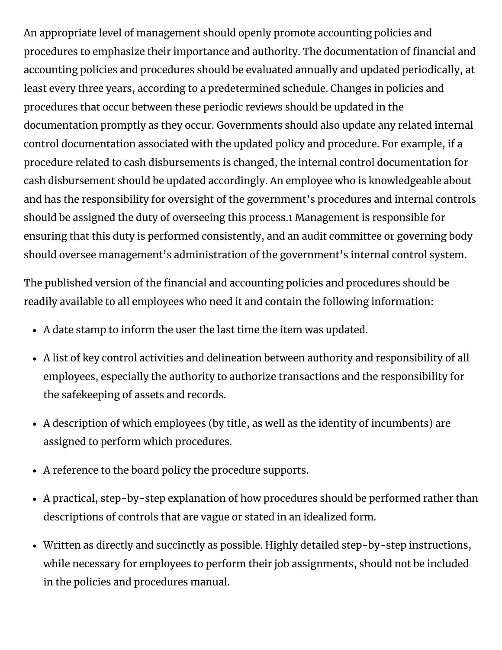An appropriate level of management should openly promote accounting policies and procedures to emphasize their importance and authority. The documentation of financial and accounting policies and procedures should be evaluated annually and updated periodically, at least every three years, according to a predetermined schedule. Changes in policies and procedures that occur between these periodic reviews should be updated in the documentation promptly as they occur. Governments should also update any related internal control documentation associated with the updated policy and procedure. For example, if a procedure related to cash disbursements is changed, the internal control documentation for cash disbursement should be updated accordingly. An employee who is knowledgeable about and has the responsibility for oversight of the government's procedures and internal controls should be assigned the duty of overseeing this process.1 Management is responsible for ensuring that this duty is performed consistently, and an audit committee or governing body should oversee management's administration of the government's internal control system.

The published version of the financial and accounting policies and procedures should be readily available to all employees who need it and contain the following information:

- A date stamp to inform the user the last time the item was updated.
- A list of key control activities and delineation between authority and responsibility of all employees, especially the authority to authorize transactions and the responsibility for the safekeeping of assets and records.
- A description of which employees (by title, as well as the identity of incumbents) are assigned to perform which procedures.
- A reference to the board policy the procedure supports.
- A practical, step-by-step explanation of how procedures should be performed rather than descriptions of controls that are vague or stated in an idealized form.
- Written as directly and succinctly as possible. Highly detailed step-by-step instructions, while necessary for employees to perform their job assignments, should not be included in the policies and procedures manual.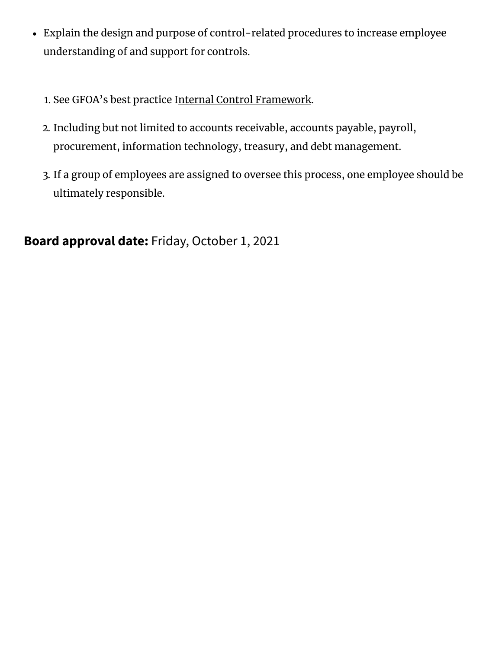- Explain the design and purpose of control-related procedures to increase employee understanding of and support for controls.
	- 1. See GFOA's best practice Internal Control [Framework.](https://www.gfoa.org/materials/internal-control-framework)
	- 2. Including but not limited to accounts receivable, accounts payable, payroll, procurement, information technology, treasury, and debt management.
	- 3. If a group of employees are assigned to oversee this process, one employee should be ultimately responsible.

**Board approval date:** Friday, October 1, 2021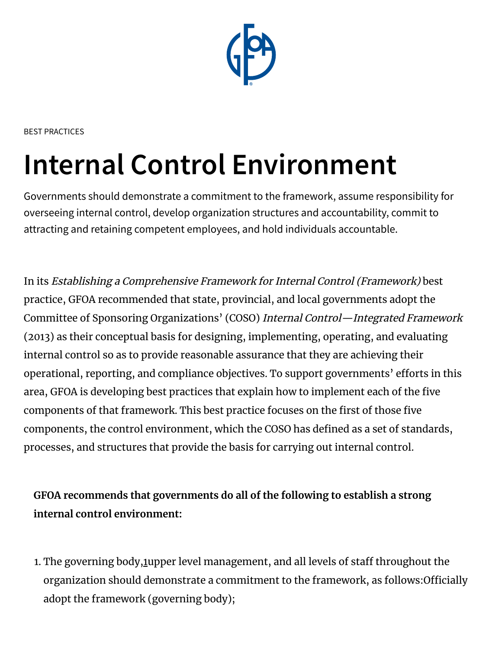

BEST PRACTICES

## **Internal Control Environment**

Governments should demonstrate a commitment to the framework, assume responsibility for overseeing internal control, develop organization structures and accountability, commit to attracting and retaining competent employees, and hold individuals accountable.

In its Establishing <sup>a</sup> Comprehensive Framework for Internal Control (Framework) best practice, GFOA recommended that state, provincial, and local governments adopt the Committee of Sponsoring Organizations' (COSO) Internal Control—Integrated Framework (2013) as their conceptual basis for designing, implementing, operating, and evaluating internal control so as to provide reasonable assurance that they are achieving their operational, reporting, and compliance objectives. To support governments' efforts in this area, GFOA is developing best practices that explain how to implement each of the five components of that framework. This best practice focuses on the first of those five components, the control environment, which the COSO has defined as a set of standards, processes, and structures that provide the basis for carrying out internal control.

**GFOA recommends that governments do all of the following to establish a strong internal control environment:**

[1](https://gfoa.prod.acquia-sites.com/internal-control-environment#anchor1). The governing body, 1 upper level management, and all levels of staff throughout the organization should demonstrate a commitment to the framework, as follows:Officially adopt the framework (governing body);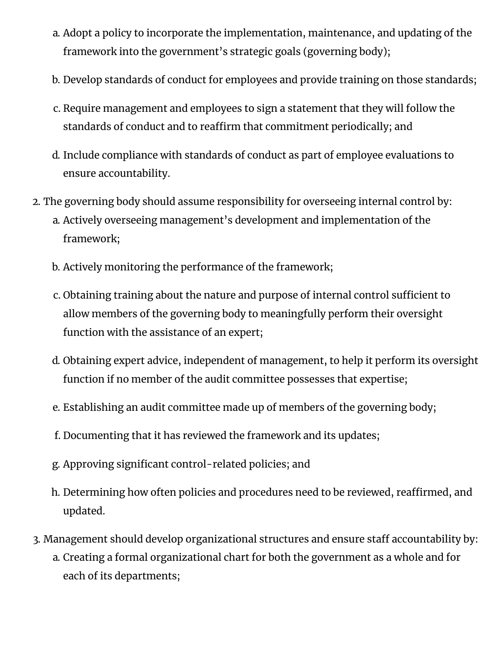- a. Adopt a policy to incorporate the implementation, maintenance, and updating of the framework into the government's strategic goals (governing body);
- b. Develop standards of conduct for employees and provide training on those standards;
- c. Require management and employees to sign a statement that they will follow the standards of conduct and to reaffirm that commitment periodically; and
- d. Include compliance with standards of conduct as part of employee evaluations to ensure accountability.
- 2. The governing body should assume responsibility for overseeing internal control by:
	- a. Actively overseeing management's development and implementation of the framework;
	- b. Actively monitoring the performance of the framework;
	- c. Obtaining training about the nature and purpose of internal control sufficient to allow members of the governing body to meaningfully perform their oversight function with the assistance of an expert;
	- d. Obtaining expert advice, independent of management, to help it perform its oversight function if no member of the audit committee possesses that expertise;
	- e. Establishing an audit committee made up of members of the governing body;
	- f. Documenting that it has reviewed the framework and its updates;
	- g. Approving significant control-related policies; and
	- h. Determining how often policies and procedures need to be reviewed, reaffirmed, and updated.
- 3. Management should develop organizational structures and ensure staff accountability by:
	- a. Creating a formal organizational chart for both the government as a whole and for each of its departments;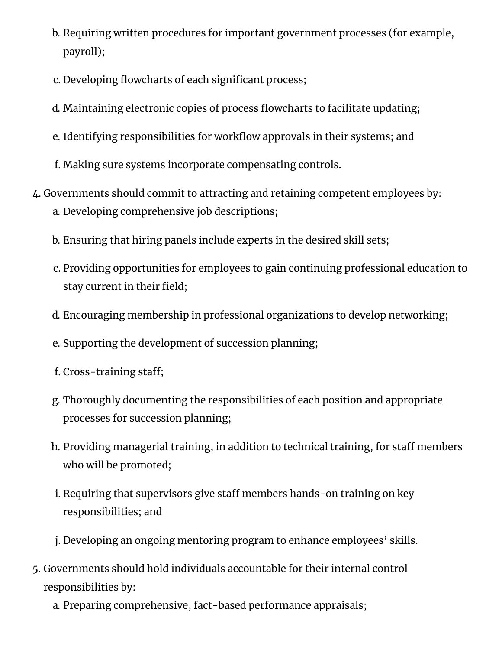- b. Requiring written procedures for important government processes (for example, payroll);
- c. Developing flowcharts of each significant process;
- d. Maintaining electronic copies of process flowcharts to facilitate updating;
- e. Identifying responsibilities for workflow approvals in their systems; and
- f. Making sure systems incorporate compensating controls.
- 4. Governments should commit to attracting and retaining competent employees by: a. Developing comprehensive job descriptions;
	- b. Ensuring that hiring panels include experts in the desired skill sets;
	- c. Providing opportunities for employees to gain continuing professional education to stay current in their field;
	- d. Encouraging membership in professional organizations to develop networking;
	- e. Supporting the development of succession planning;
	- f. Cross-training staff;
	- g. Thoroughly documenting the responsibilities of each position and appropriate processes for succession planning;
	- h. Providing managerial training, in addition to technical training, for staff members who will be promoted;
	- i. Requiring that supervisors give staff members hands-on training on key responsibilities; and
	- j. Developing an ongoing mentoring program to enhance employees' skills.
- 5. Governments should hold individuals accountable for their internal control responsibilities by:
	- a. Preparing comprehensive, fact-based performance appraisals;